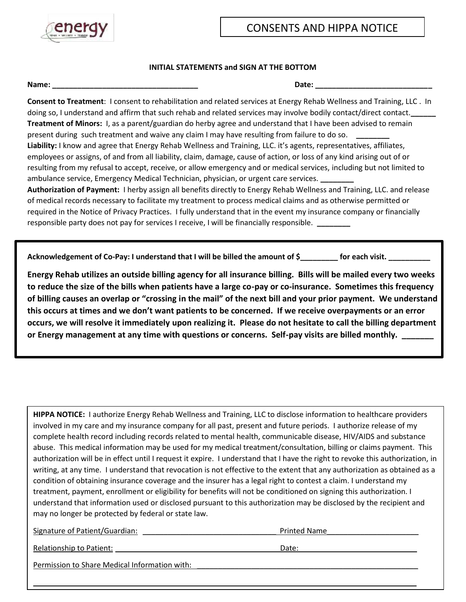

## **INITIAL STATEMENTS and SIGN AT THE BOTTOM**

**Name:**  $\blacksquare$ 

**Consent to Treatment**: I consent to rehabilitation and related services at Energy Rehab Wellness and Training, LLC . In doing so, I understand and affirm that such rehab and related services may involve bodily contact/direct contact.**\_\_\_\_\_\_ Treatment of Minors:** I, as a parent/guardian do herby agree and understand that I have been advised to remain present during such treatment and waive any claim I may have resulting from failure to do so. **\_\_\_\_\_\_\_\_ Liability:** I know and agree that Energy Rehab Wellness and Training, LLC. it's agents, representatives, affiliates, employees or assigns, of and from all liability, claim, damage, cause of action, or loss of any kind arising out of or resulting from my refusal to accept, receive, or allow emergency and or medical services, including but not limited to ambulance service, Emergency Medical Technician, physician, or urgent care services. **\_\_\_\_\_\_\_\_ Authorization of Payment:** I herby assign all benefits directly to Energy Rehab Wellness and Training, LLC. and release of medical records necessary to facilitate my treatment to process medical claims and as otherwise permitted or

required in the Notice of Privacy Practices. I fully understand that in the event my insurance company or financially responsible party does not pay for services I receive, I will be financially responsible. **\_\_\_\_\_\_\_\_**

Acknowledgement of Co-Pay: I understand that I will be billed the amount of \$\_\_\_\_\_\_\_\_ for each visit. \_\_\_\_\_\_\_\_\_

**Energy Rehab utilizes an outside billing agency for all insurance billing. Bills will be mailed every two weeks to reduce the size of the bills when patients have a large co-pay or co-insurance. Sometimes this frequency of billing causes an overlap or "crossing in the mail" of the next bill and your prior payment. We understand this occurs at times and we don't want patients to be concerned. If we receive overpayments or an error occurs, we will resolve it immediately upon realizing it. Please do not hesitate to call the billing department**  or Energy management at any time with questions or concerns. Self-pay visits are billed monthly.

**HIPPA NOTICE:** I authorize Energy Rehab Wellness and Training, LLC to disclose information to healthcare providers involved in my care and my insurance company for all past, present and future periods. I authorize release of my complete health record including records related to mental health, communicable disease, HIV/AIDS and substance abuse. This medical information may be used for my medical treatment/consultation, billing or claims payment. This authorization will be in effect until I request it expire. I understand that I have the right to revoke this authorization, in writing, at any time. I understand that revocation is not effective to the extent that any authorization as obtained as a condition of obtaining insurance coverage and the insurer has a legal right to contest a claim. I understand my treatment, payment, enrollment or eligibility for benefits will not be conditioned on signing this authorization. I understand that information used or disclosed pursuant to this authorization may be disclosed by the recipient and may no longer be protected by federal or state law.

 $\_$  ,  $\_$  ,  $\_$  ,  $\_$  ,  $\_$  ,  $\_$  ,  $\_$  ,  $\_$  ,  $\_$  ,  $\_$  ,  $\_$  ,  $\_$  ,  $\_$  ,  $\_$  ,  $\_$  ,  $\_$  ,  $\_$  ,  $\_$  ,  $\_$  ,  $\_$  ,  $\_$  ,  $\_$  ,  $\_$  ,  $\_$  ,  $\_$  ,  $\_$  ,  $\_$  ,  $\_$  ,  $\_$  ,  $\_$  ,  $\_$  ,  $\_$  ,  $\_$  ,  $\_$  ,  $\_$  ,  $\_$  ,  $\_$  ,

Signature of Patient/Guardian: \_\_\_\_\_\_\_\_\_\_\_\_\_\_\_\_\_\_\_\_\_\_\_\_\_\_\_\_\_\_\_\_ Printed Name\_\_\_\_\_\_\_\_\_\_\_\_\_\_\_\_\_\_\_\_\_\_

| <b>Relationship to Patient:</b> | Date. |
|---------------------------------|-------|
|                                 |       |

Permission to Share Medical Information with: